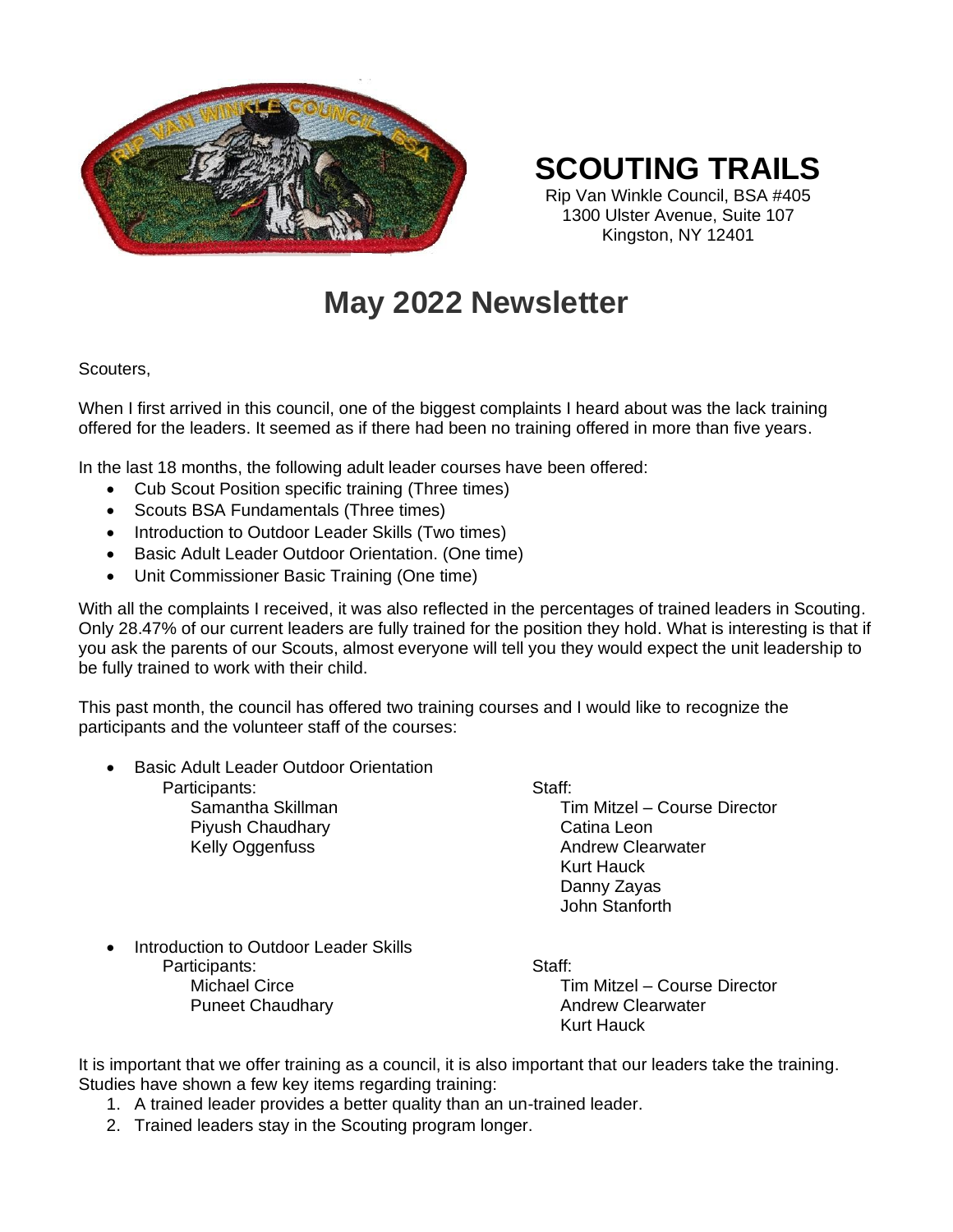

### **SCOUTING TRAILS**

Rip Van Winkle Council, BSA #405 1300 Ulster Avenue, Suite 107 Kingston, NY 12401

## **May 2022 Newsletter**

#### Scouters,

When I first arrived in this council, one of the biggest complaints I heard about was the lack training offered for the leaders. It seemed as if there had been no training offered in more than five years.

In the last 18 months, the following adult leader courses have been offered:

- Cub Scout Position specific training (Three times)
- Scouts BSA Fundamentals (Three times)
- Introduction to Outdoor Leader Skills (Two times)
- Basic Adult Leader Outdoor Orientation. (One time)
- Unit Commissioner Basic Training (One time)

With all the complaints I received, it was also reflected in the percentages of trained leaders in Scouting. Only 28.47% of our current leaders are fully trained for the position they hold. What is interesting is that if you ask the parents of our Scouts, almost everyone will tell you they would expect the unit leadership to be fully trained to work with their child.

This past month, the council has offered two training courses and I would like to recognize the participants and the volunteer staff of the courses:

- Basic Adult Leader Outdoor Orientation
	- Participants: Samantha Skillman Piyush Chaudhary

Kelly Oggenfuss

Staff:

Tim Mitzel – Course Director Catina Leon Andrew Clearwater Kurt Hauck Danny Zayas John Stanforth

Introduction to Outdoor Leader Skills Participants: Michael Circe Puneet Chaudhary

Staff: Tim Mitzel – Course Director Andrew Clearwater Kurt Hauck

It is important that we offer training as a council, it is also important that our leaders take the training. Studies have shown a few key items regarding training:

- 1. A trained leader provides a better quality than an un-trained leader.
- 2. Trained leaders stay in the Scouting program longer.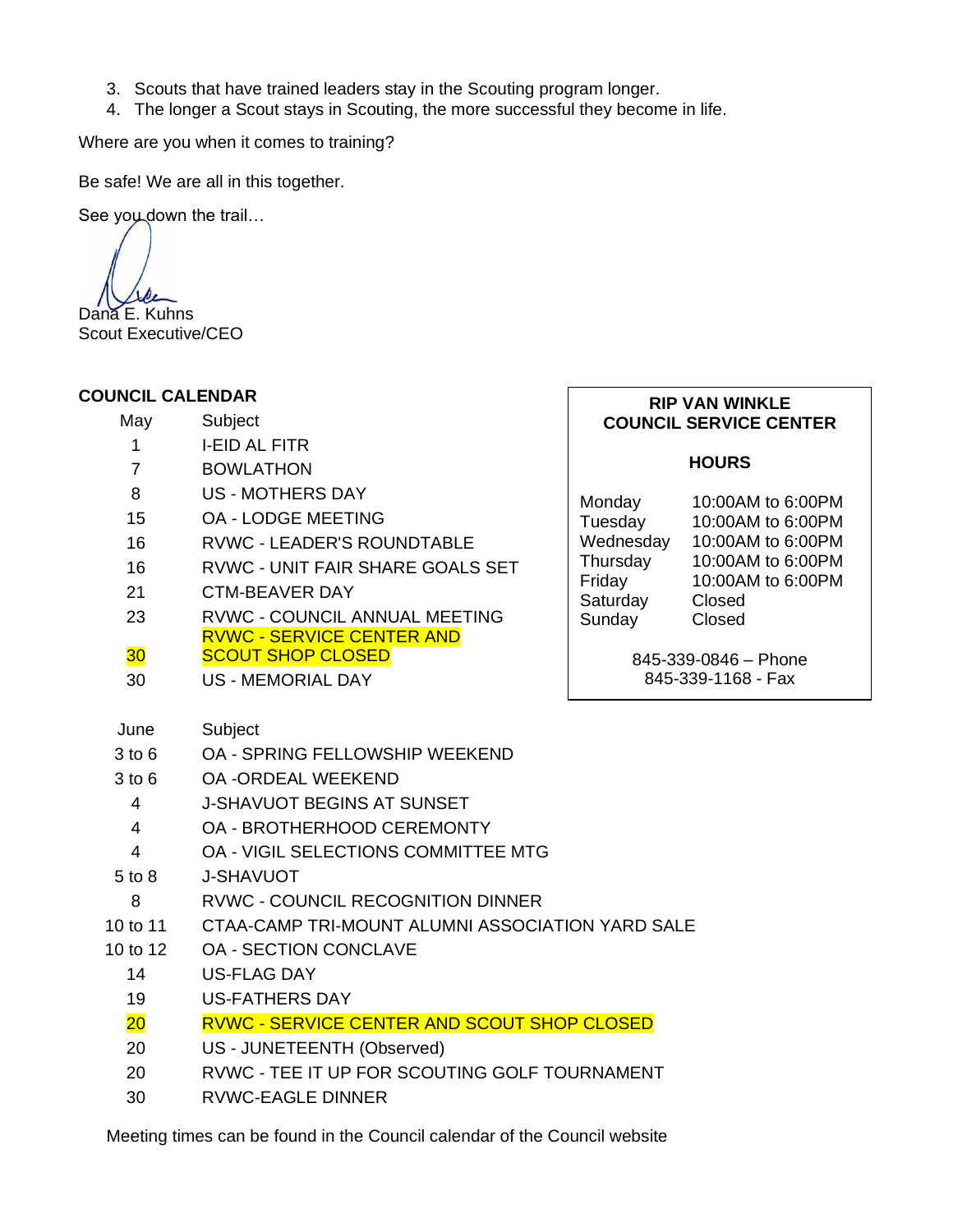- 3. Scouts that have trained leaders stay in the Scouting program longer.
- 4. The longer a Scout stays in Scouting, the more successful they become in life.

Where are you when it comes to training?

Be safe! We are all in this together.

See you down the trail...

Dana E. Kuhns Scout Executive/CEO

#### **COUNCIL CALENDAR**

| OUNCIL CALENDAR |                                                    | <b>RIP VAN WINKLE</b> |                                            |  |
|-----------------|----------------------------------------------------|-----------------------|--------------------------------------------|--|
| May             | Subject                                            |                       | <b>COUNCIL SERVICE CENTER</b>              |  |
| 1               | <b>I-EID AL FITR</b>                               |                       |                                            |  |
| $\overline{7}$  | <b>BOWLATHON</b>                                   |                       | <b>HOURS</b>                               |  |
| 8               | <b>US - MOTHERS DAY</b>                            | Monday                | 10:00AM to 6:00PM                          |  |
| 15              | <b>OA - LODGE MEETING</b>                          | Tuesday               | 10:00AM to 6:00PM                          |  |
| 16              | <b>RVWC - LEADER'S ROUNDTABLE</b>                  | Wednesday             | 10:00AM to 6:00PM                          |  |
| 16              | RVWC - UNIT FAIR SHARE GOALS SET                   | Thursday<br>Friday    | 10:00AM to 6:00PM<br>10:00AM to 6:00PM     |  |
| 21              | <b>CTM-BEAVER DAY</b>                              | Saturday              | Closed                                     |  |
| 23              | <b>RVWC - COUNCIL ANNUAL MEETING</b>               | Sunday                | Closed                                     |  |
|                 | <b>RVWC - SERVICE CENTER AND</b>                   |                       |                                            |  |
| 30 <sub>o</sub> | <b>SCOUT SHOP CLOSED</b>                           |                       | 845-339-0846 - Phone<br>845-339-1168 - Fax |  |
| 30              | <b>US - MEMORIAL DAY</b>                           |                       |                                            |  |
| June            | Subject                                            |                       |                                            |  |
| $3$ to $6$      | <b>OA - SPRING FELLOWSHIP WEEKEND</b>              |                       |                                            |  |
| $3$ to $6$      | <b>OA -ORDEAL WEEKEND</b>                          |                       |                                            |  |
| $\overline{4}$  | <b>J-SHAVUOT BEGINS AT SUNSET</b>                  |                       |                                            |  |
| $\overline{4}$  | OA - BROTHERHOOD CEREMONTY                         |                       |                                            |  |
| $\overline{4}$  | OA - VIGIL SELECTIONS COMMITTEE MTG                |                       |                                            |  |
| $5$ to $8$      | <b>J-SHAVUOT</b>                                   |                       |                                            |  |
| 8               | RVWC - COUNCIL RECOGNITION DINNER                  |                       |                                            |  |
| 10 to 11        | CTAA-CAMP TRI-MOUNT ALUMNI ASSOCIATION YARD SALE   |                       |                                            |  |
| 10 to 12        | <b>OA - SECTION CONCLAVE</b>                       |                       |                                            |  |
| 14              | <b>US-FLAG DAY</b>                                 |                       |                                            |  |
| 19              | <b>US-FATHERS DAY</b>                              |                       |                                            |  |
| 20              | <b>RVWC - SERVICE CENTER AND SCOUT SHOP CLOSED</b> |                       |                                            |  |
| 20              | US - JUNETEENTH (Observed)                         |                       |                                            |  |
| 20              | RVWC - TEE IT UP FOR SCOUTING GOLF TOURNAMENT      |                       |                                            |  |
| 30              | <b>RVWC-EAGLE DINNER</b>                           |                       |                                            |  |

Meeting times can be found in the Council calendar of the Council website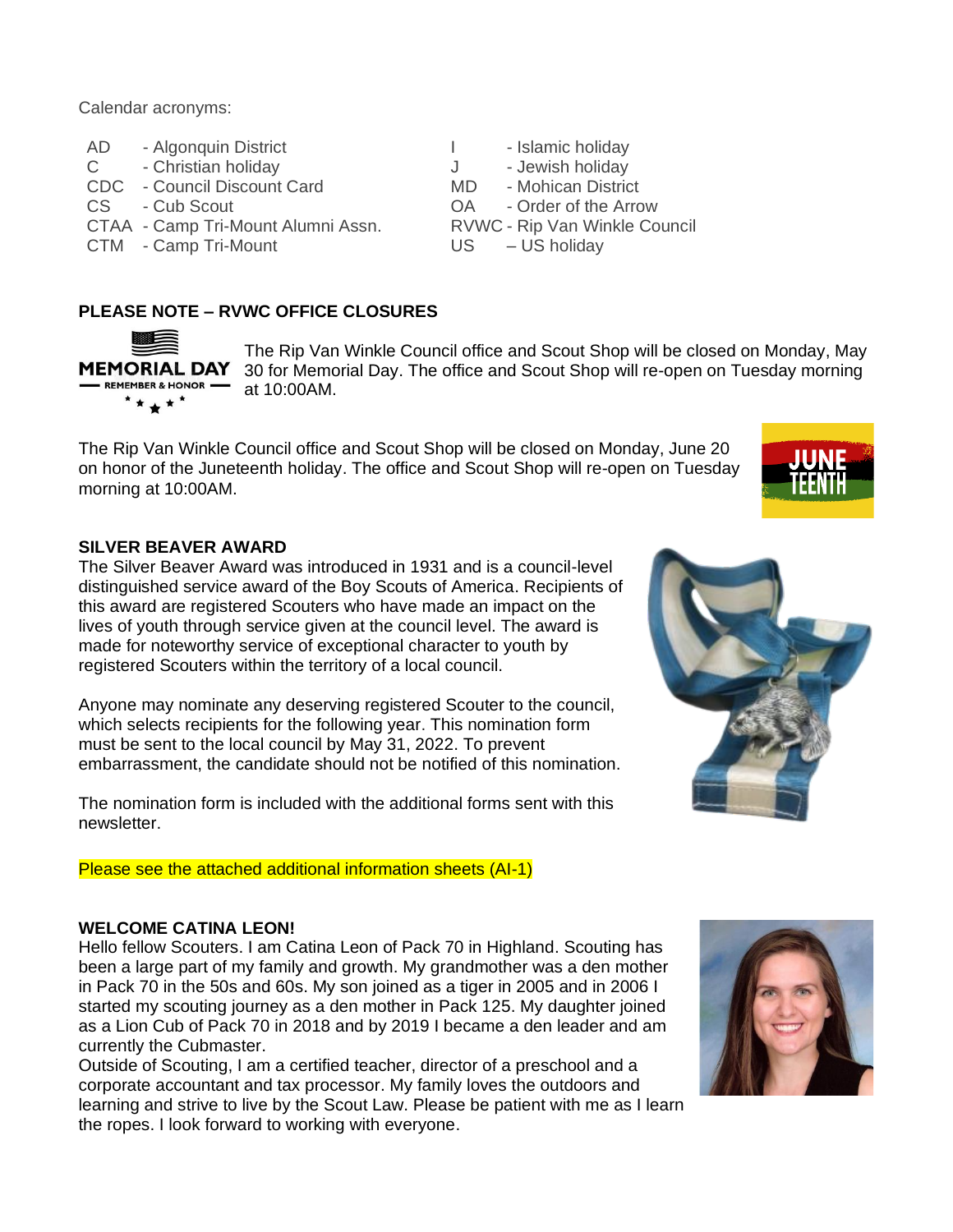Calendar acronyms:

- AD Algonquin District **I** Islamic holiday
- C Christian holiday J Jewish holiday

CDC - Council Discount Card MD - Mohican District

- 
- CTAA Camp Tri-Mount Alumni Assn. RVWC Rip Van Winkle Council
- CTM Camp Tri-Mount US US holiday

- 
- 

The Rip Van Winkle Council office and Scout Shop will be closed on Monday, May

- CS Cub Scout OA Order of the Arrow
	-
	-

#### **PLEASE NOTE – RVWC OFFICE CLOSURES**

**MEMORIAL DAY** 30 for Memorial Day. The office and Scout Shop will re-open on Tuesday morning REMEMBER & HONOR  $*$ \*\*\* $*$ 

at 10:00AM.

The Rip Van Winkle Council office and Scout Shop will be closed on Monday, June 20 on honor of the Juneteenth holiday. The office and Scout Shop will re-open on Tuesday morning at 10:00AM.

#### **SILVER BEAVER AWARD**

The Silver Beaver Award was introduced in 1931 and is a council-level distinguished service award of the Boy Scouts of America. Recipients of this award are registered Scouters who have made an impact on the lives of youth through service given at the council level. The award is made for noteworthy service of exceptional character to youth by registered Scouters within the territory of a local council.

Anyone may nominate any deserving registered Scouter to the council, which selects recipients for the following year. This nomination form must be sent to the local council by May 31, 2022. To prevent embarrassment, the candidate should not be notified of this nomination.

The nomination form is included with the additional forms sent with this newsletter.

Please see the attached additional information sheets (AI-1)

#### **WELCOME CATINA LEON!**

Hello fellow Scouters. I am Catina Leon of Pack 70 in Highland. Scouting has been a large part of my family and growth. My grandmother was a den mother in Pack 70 in the 50s and 60s. My son joined as a tiger in 2005 and in 2006 I started my scouting journey as a den mother in Pack 125. My daughter joined as a Lion Cub of Pack 70 in 2018 and by 2019 I became a den leader and am currently the Cubmaster.

Outside of Scouting, I am a certified teacher, director of a preschool and a corporate accountant and tax processor. My family loves the outdoors and learning and strive to live by the Scout Law. Please be patient with me as I learn the ropes. I look forward to working with everyone.



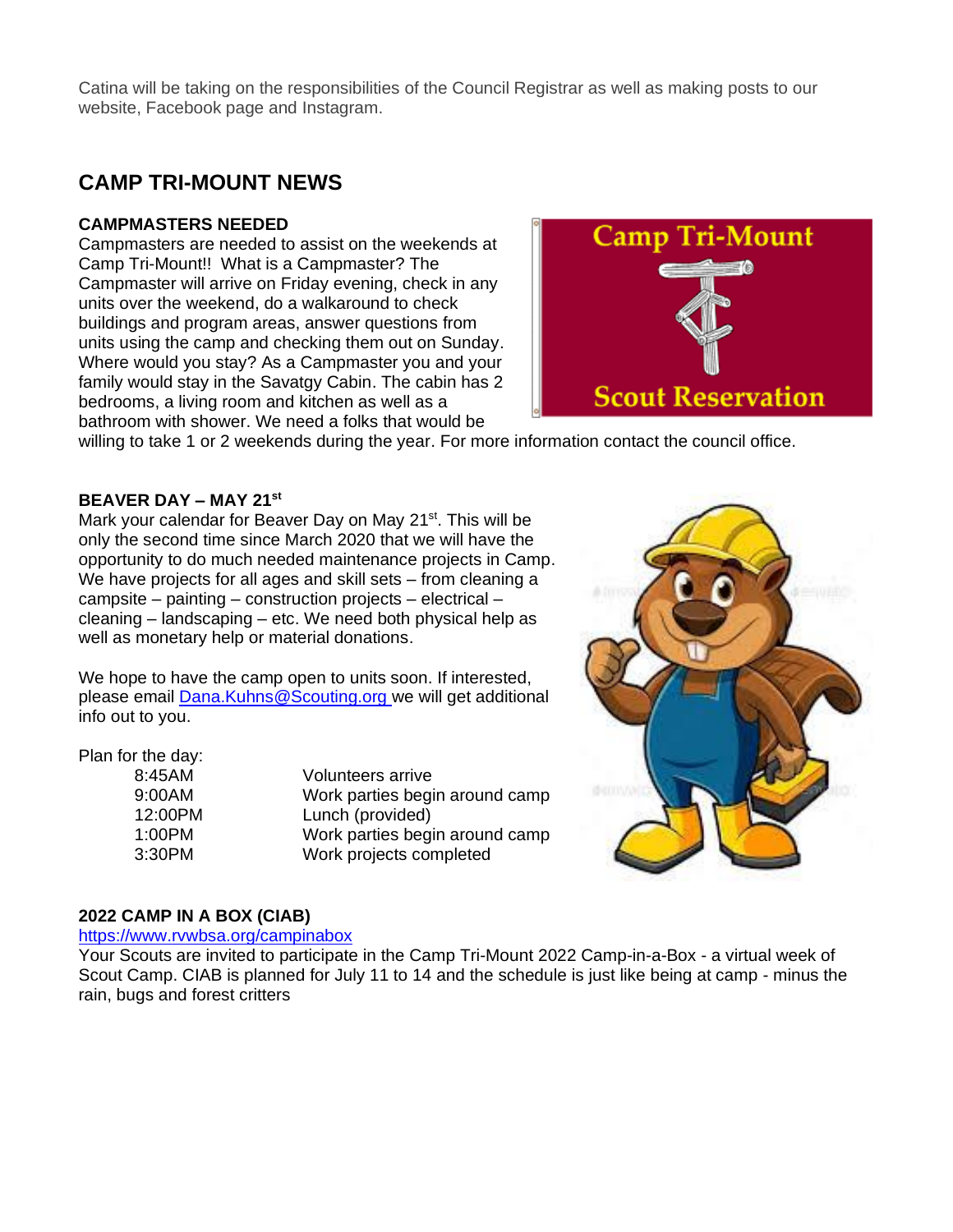Catina will be taking on the responsibilities of the Council Registrar as well as making posts to our website, Facebook page and Instagram.

### **CAMP TRI-MOUNT NEWS**

#### **CAMPMASTERS NEEDED**

Campmasters are needed to assist on the weekends at Camp Tri-Mount!! What is a Campmaster? The Campmaster will arrive on Friday evening, check in any units over the weekend, do a walkaround to check buildings and program areas, answer questions from units using the camp and checking them out on Sunday. Where would you stay? As a Campmaster you and your family would stay in the Savatgy Cabin. The cabin has 2 bedrooms, a living room and kitchen as well as a bathroom with shower. We need a folks that would be



willing to take 1 or 2 weekends during the year. For more information contact the council office.

#### **BEAVER DAY – MAY 21st**

Mark your calendar for Beaver Day on May 21<sup>st</sup>. This will be only the second time since March 2020 that we will have the opportunity to do much needed maintenance projects in Camp. We have projects for all ages and skill sets – from cleaning a campsite – painting – construction projects – electrical – cleaning – landscaping – etc. We need both physical help as well as monetary help or material donations.

We hope to have the camp open to units soon. If interested, please email [Dana.Kuhns@Scouting.org](mailto:Dana.Kuhns@Scouting.org) we will get additional info out to you.

#### Plan for the day:

| 8:45AM  | <b>Volunteers arrive</b>       |
|---------|--------------------------------|
| 9:00AM  | Work parties begin around camp |
| 12:00PM | Lunch (provided)               |
| 1:00PM  | Work parties begin around camp |
| 3:30PM  | Work projects completed        |



#### **2022 CAMP IN A BOX (CIAB)**

#### <https://www.rvwbsa.org/campinabox>

Your Scouts are invited to participate in the Camp Tri-Mount 2022 Camp-in-a-Box - a virtual week of Scout Camp. CIAB is planned for July 11 to 14 and the schedule is just like being at camp - minus the rain, bugs and forest critters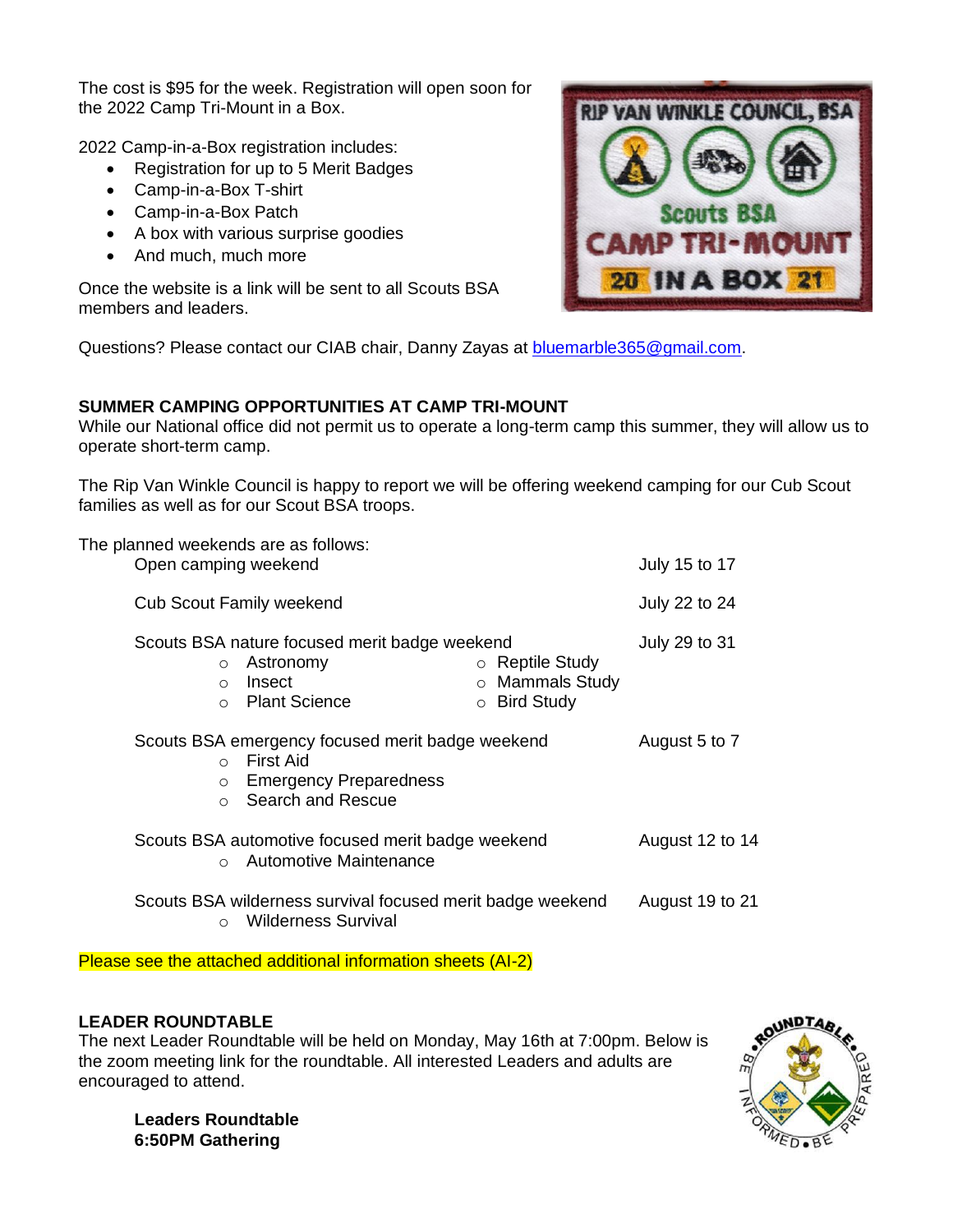The cost is \$95 for the week. Registration will open soon for the 2022 Camp Tri-Mount in a Box.

2022 Camp-in-a-Box registration includes:

- Registration for up to 5 Merit Badges
- Camp-in-a-Box T-shirt
- Camp-in-a-Box Patch
- A box with various surprise goodies
- And much, much more

Once the website is a link will be sent to all Scouts BSA members and leaders.



Questions? Please contact our CIAB chair, Danny Zayas at [bluemarble365@gmail.com.](mailto:bluemarble365@gmail.com)

#### **SUMMER CAMPING OPPORTUNITIES AT CAMP TRI-MOUNT**

While our National office did not permit us to operate a long-term camp this summer, they will allow us to operate short-term camp.

The Rip Van Winkle Council is happy to report we will be offering weekend camping for our Cub Scout families as well as for our Scout BSA troops.

| The planned weekends are as follows:<br>Open camping weekend                                                                                |                                                                                              |         |                                                               | July 15 to 17   |
|---------------------------------------------------------------------------------------------------------------------------------------------|----------------------------------------------------------------------------------------------|---------|---------------------------------------------------------------|-----------------|
|                                                                                                                                             | <b>Cub Scout Family weekend</b>                                                              |         |                                                               | July 22 to 24   |
| $\circ$<br>$\bigcirc$<br>$\bigcap$                                                                                                          | Scouts BSA nature focused merit badge weekend<br>Astronomy<br>Insect<br><b>Plant Science</b> | $\circ$ | $\circ$ Reptile Study<br>o Mammals Study<br><b>Bird Study</b> | July 29 to 31   |
| Scouts BSA emergency focused merit badge weekend<br>○ First Aid<br><b>Emergency Preparedness</b><br>$\circ$<br>Search and Rescue<br>$\circ$ |                                                                                              |         | August 5 to 7                                                 |                 |
| Scouts BSA automotive focused merit badge weekend<br>Automotive Maintenance<br>$\bigcirc$                                                   |                                                                                              |         | August 12 to 14                                               |                 |
| $\bigcirc$                                                                                                                                  | Scouts BSA wilderness survival focused merit badge weekend<br><b>Wilderness Survival</b>     |         |                                                               | August 19 to 21 |

Please see the attached additional information sheets (AI-2)

#### **LEADER ROUNDTABLE**

The next Leader Roundtable will be held on Monday, May 16th at 7:00pm. Below is the zoom meeting link for the roundtable. All interested Leaders and adults are encouraged to attend.



**Leaders Roundtable 6:50PM Gathering**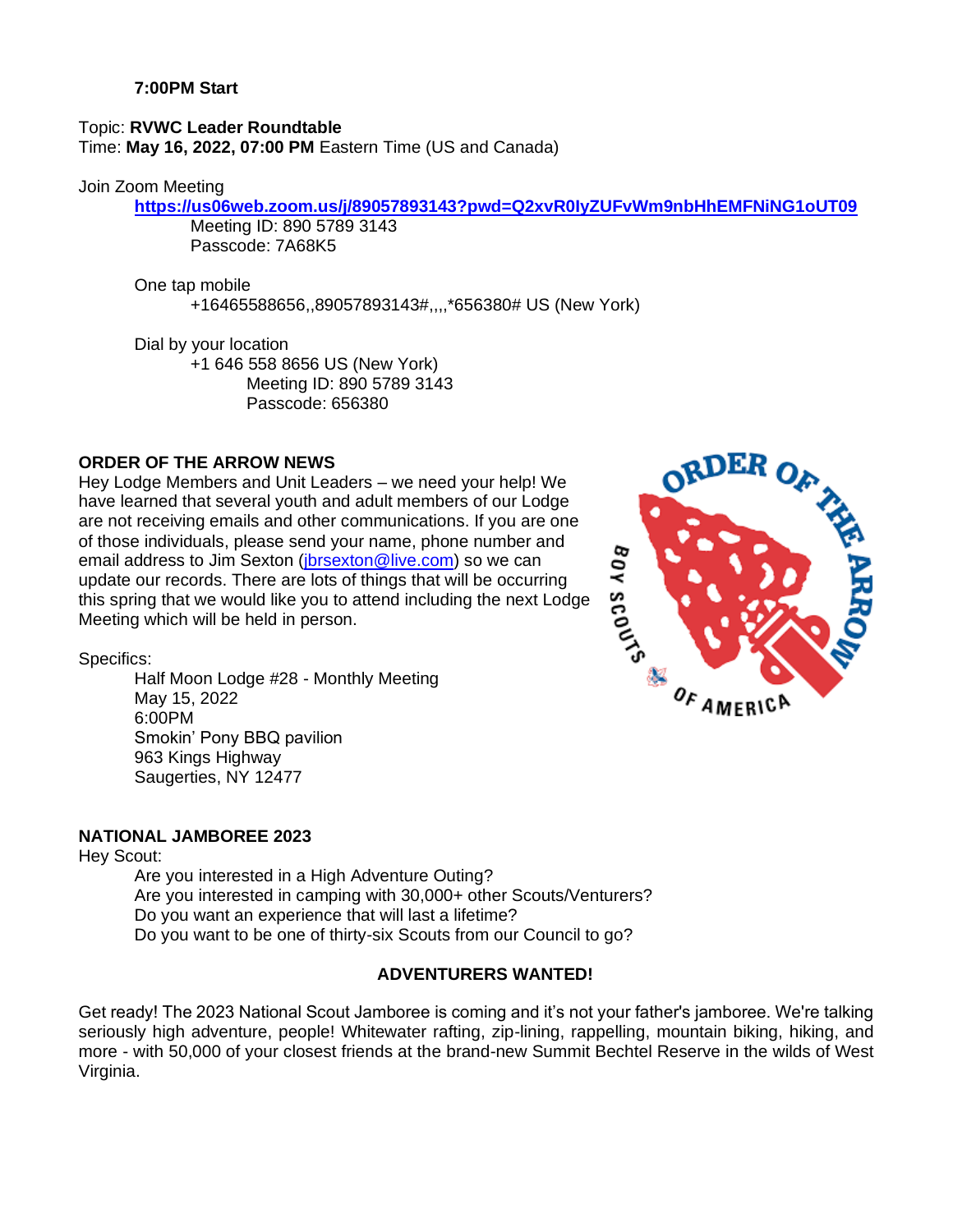Topic: **RVWC Leader Roundtable** Time: **May 16, 2022, 07:00 PM** Eastern Time (US and Canada)

#### Join Zoom Meeting

#### **<https://us06web.zoom.us/j/89057893143?pwd=Q2xvR0IyZUFvWm9nbHhEMFNiNG1oUT09>**

Meeting ID: 890 5789 3143 Passcode: 7A68K5

One tap mobile

+16465588656,,89057893143#,,,,\*656380# US (New York)

Dial by your location +1 646 558 8656 US (New York) Meeting ID: 890 5789 3143 Passcode: 656380

#### **ORDER OF THE ARROW NEWS**

Hey Lodge Members and Unit Leaders – we need your help! We have learned that several youth and adult members of our Lodge are not receiving emails and other communications. If you are one of those individuals, please send your name, phone number and email address to Jim Sexton [\(jbrsexton@live.com\)](mailto:jbrsexton@live.com) so we can update our records. There are lots of things that will be occurring Statistical and the number and email address to Jim Sexton (jbrsexton @live.com) so we can<br>update our records. There are lots of things that will be occurring<br>this spring that we would like you to attend including the next Meeting which will be held in person.



Specifics:

Half Moon Lodge #28 - Monthly Meeting May 15, 2022 6:00PM Smokin' Pony BBQ pavilion 963 Kings [Highway](https://www.yelp.com/map/smokin-pony-bbq-saugerties-2) Saugerties, NY 12477

#### **NATIONAL JAMBOREE 2023**

Hey Scout:

Are you interested in a High Adventure Outing? Are you interested in camping with 30,000+ other Scouts/Venturers? Do you want an experience that will last a lifetime? Do you want to be one of thirty-six Scouts from our Council to go?

#### **ADVENTURERS WANTED!**

Get ready! The 2023 National Scout Jamboree is coming and it's not your father's jamboree. We're talking seriously high adventure, people! Whitewater rafting, zip-lining, rappelling, mountain biking, hiking, and more - with 50,000 of your closest friends at the brand-new Summit Bechtel Reserve in the wilds of West Virginia.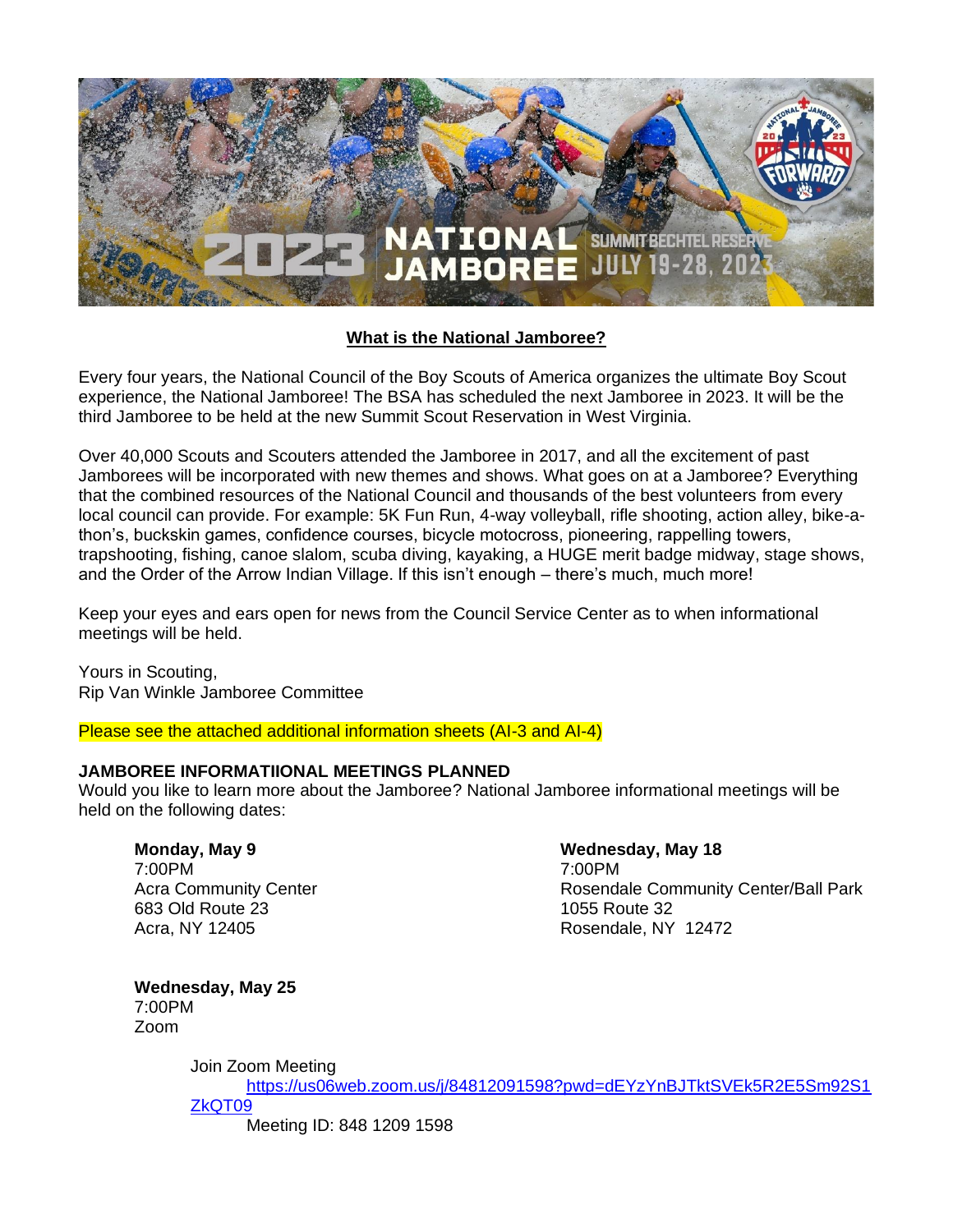

#### **[What is the National Jamboree?](http://www.quivira.org/Program/2013%20National%20Scout%20Jamboree/~/media/Councils/Council198/Council%20Special%20Events/2013%20Jambo%20Youth%20Application.ashx)**

Every four years, the National Council of the Boy Scouts of America organizes the ultimate Boy Scout experience, the National Jamboree! The BSA has scheduled the next Jamboree in 2023. It will be the third Jamboree to be held at the new Summit Scout Reservation in West Virginia.

Over 40,000 Scouts and Scouters attended the Jamboree in 2017, and all the excitement of past Jamborees will be incorporated with new themes and shows. What goes on at a Jamboree? Everything that the combined resources of the National Council and thousands of the best volunteers from every local council can provide. For example: 5K Fun Run, 4-way volleyball, rifle shooting, action alley, bike-athon's, buckskin games, confidence courses, bicycle motocross, pioneering, rappelling towers, trapshooting, fishing, canoe slalom, scuba diving, kayaking, a HUGE merit badge midway, stage shows, and the Order of the Arrow Indian Village. If this isn't enough – there's much, much more!

Keep your eyes and ears open for news from the Council Service Center as to when informational meetings will be held.

Yours in Scouting, Rip Van Winkle Jamboree Committee

Please see the attached additional information sheets (AI-3 and AI-4)

#### **JAMBOREE INFORMATIIONAL MEETINGS PLANNED**

Would you like to learn more about the Jamboree? National Jamboree informational meetings will be held on the following dates:

**Monday, May 9** 7:00PM Acra Community Center 683 Old Route 23 Acra, NY 12405

#### **Wednesday, May 18**

7:00PM Rosendale Community Center/Ball Park 1055 Route 32 Rosendale, NY 12472

**Wednesday, May 25** 7:00PM Zoom

Join Zoom Meeting

[https://us06web.zoom.us/j/84812091598?pwd=dEYzYnBJTktSVEk5R2E5Sm92S1](https://us06web.zoom.us/j/84812091598?pwd=dEYzYnBJTktSVEk5R2E5Sm92S1ZkQT09) [ZkQT09](https://us06web.zoom.us/j/84812091598?pwd=dEYzYnBJTktSVEk5R2E5Sm92S1ZkQT09)

Meeting ID: 848 1209 1598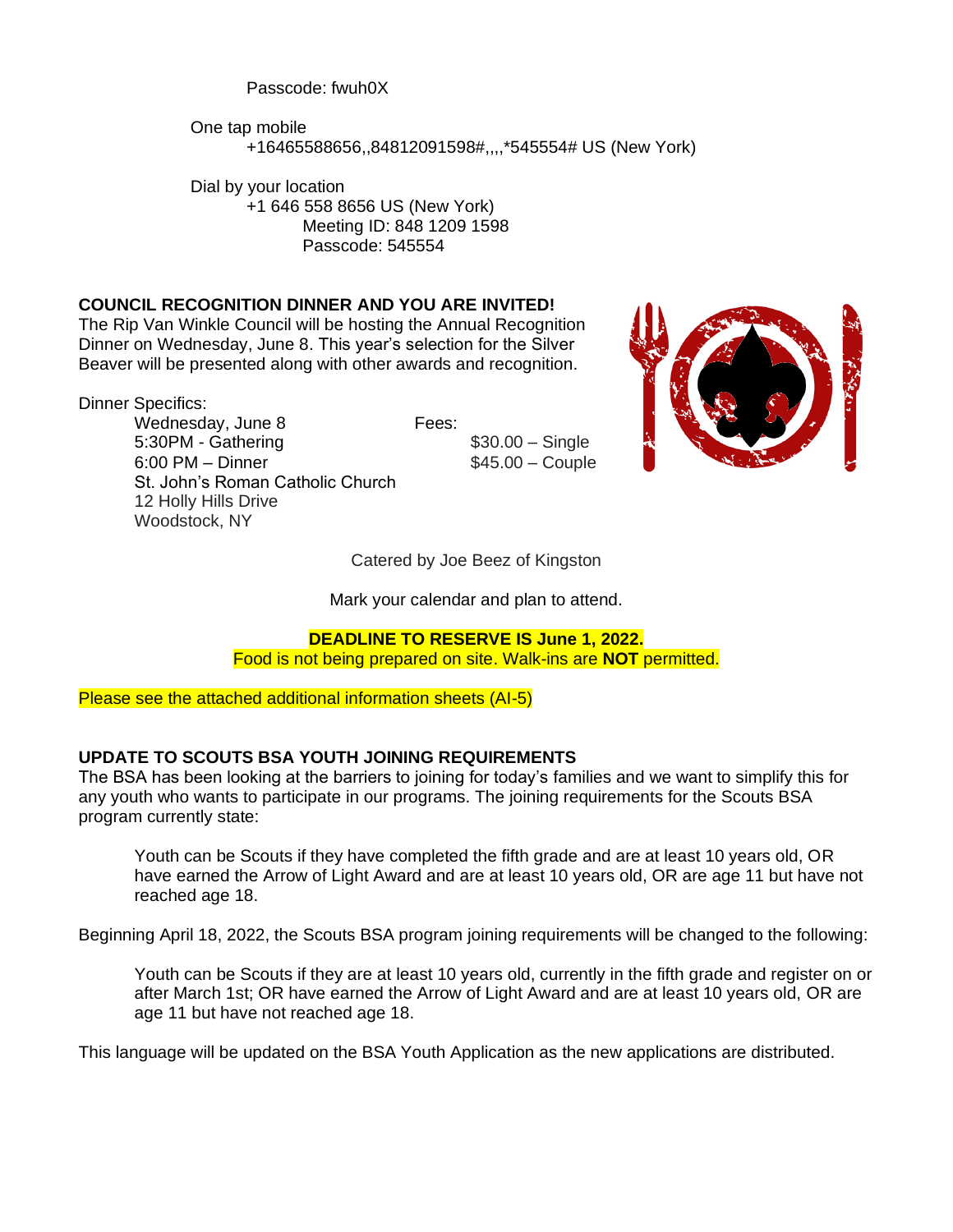Passcode: fwuh0X

One tap mobile +16465588656,,84812091598#,,,,\*545554# US (New York)

Dial by your location +1 646 558 8656 US (New York) Meeting ID: 848 1209 1598 Passcode: 545554

#### **COUNCIL RECOGNITION DINNER AND YOU ARE INVITED!**

The Rip Van Winkle Council will be hosting the Annual Recognition Dinner on Wednesday, June 8. This year's selection for the Silver Beaver will be presented along with other awards and recognition.

Dinner Specifics:

Wednesday, June 8 Fees: 5:30PM - Gathering  $$30.00 -$  Single 6:00 PM – Dinner \$45.00 – Couple St. John's Roman Catholic Church 12 Holly Hills Drive Woodstock, NY



Catered by Joe Beez of Kingston

Mark your calendar and plan to attend.

#### **DEADLINE TO RESERVE IS June 1, 2022.**

Food is not being prepared on site. Walk-ins are **NOT** permitted.

Please see the attached additional information sheets (AI-5)

#### **UPDATE TO SCOUTS BSA YOUTH JOINING REQUIREMENTS**

The BSA has been looking at the barriers to joining for today's families and we want to simplify this for any youth who wants to participate in our programs. The joining requirements for the Scouts BSA program currently state:

Youth can be Scouts if they have completed the fifth grade and are at least 10 years old, OR have earned the Arrow of Light Award and are at least 10 years old, OR are age 11 but have not reached age 18.

Beginning April 18, 2022, the Scouts BSA program joining requirements will be changed to the following:

Youth can be Scouts if they are at least 10 years old, currently in the fifth grade and register on or after March 1st; OR have earned the Arrow of Light Award and are at least 10 years old, OR are age 11 but have not reached age 18.

This language will be updated on the BSA Youth Application as the new applications are distributed.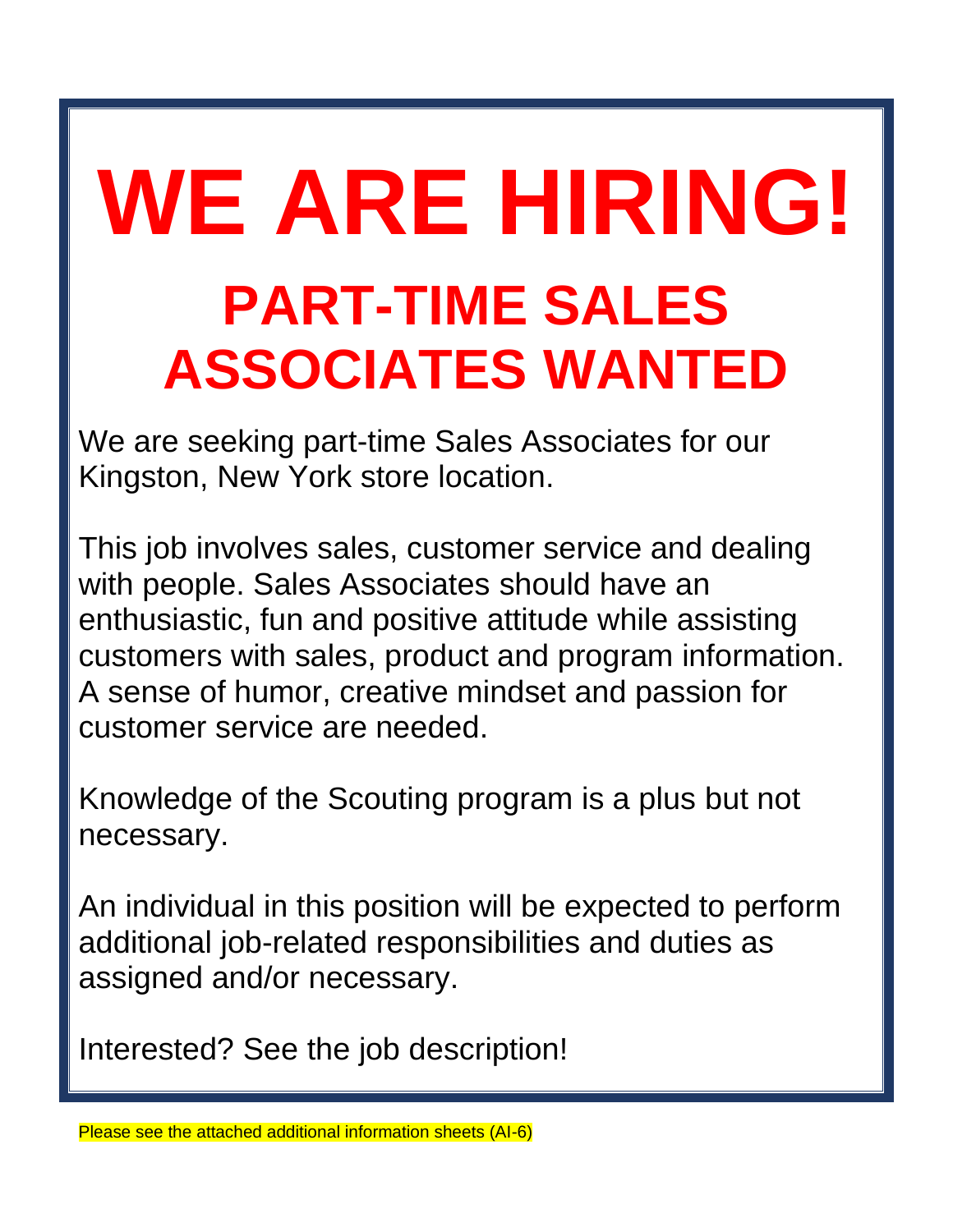## **WE ARE HIRING! PART-TIME SALES ASSOCIATES WANTED**

We are seeking part-time Sales Associates for our Kingston, New York store location.

This job involves sales, customer service and dealing with people. Sales Associates should have an enthusiastic, fun and positive attitude while assisting customers with sales, product and program information. A sense of humor, creative mindset and passion for customer service are needed.

Knowledge of the Scouting program is a plus but not necessary.

An individual in this position will be expected to perform additional job-related responsibilities and duties as assigned and/or necessary.

Interested? See the job description!

Please see the attached additional information sheets (AI-6)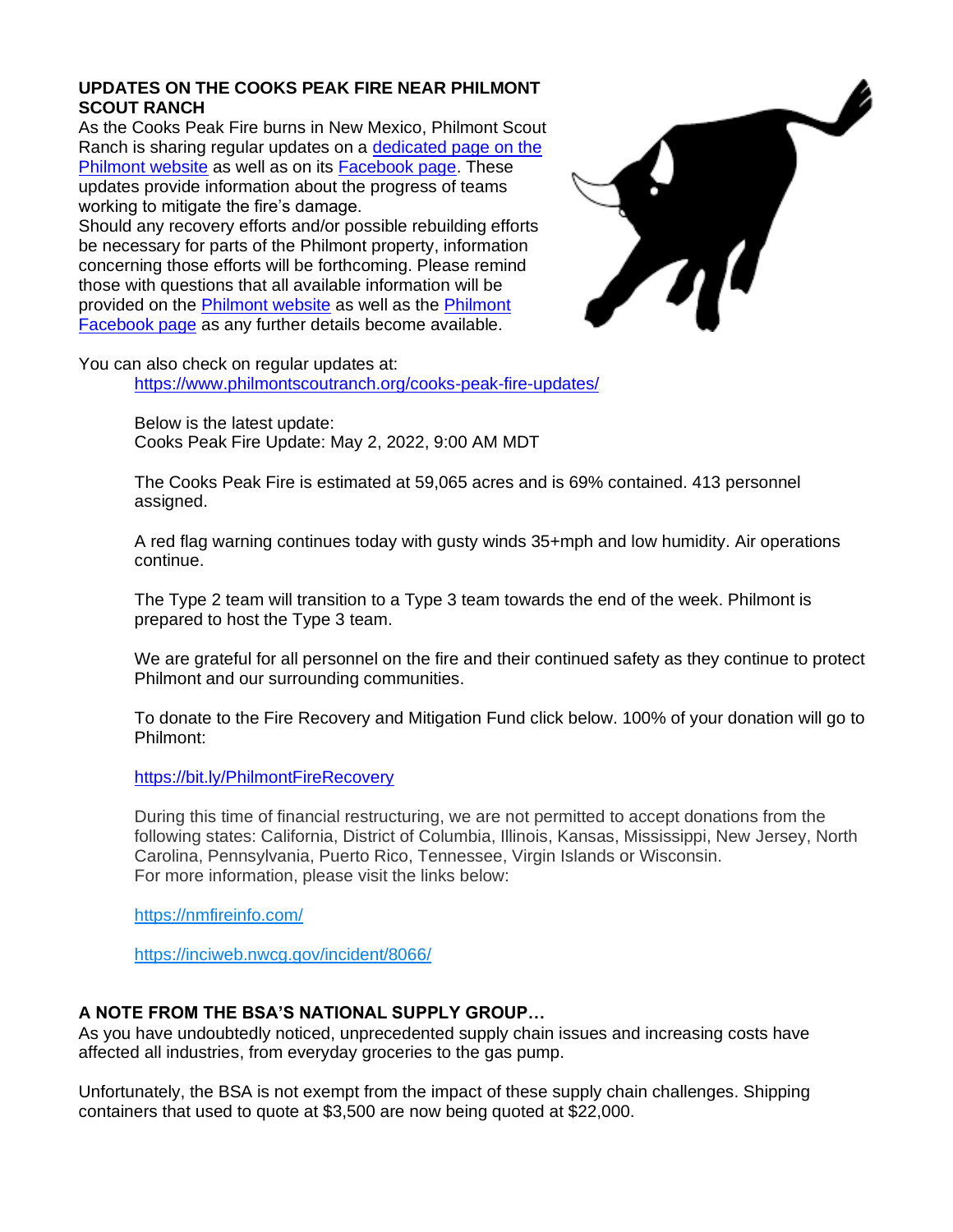#### **UPDATES ON THE COOKS PEAK FIRE NEAR PHILMONT SCOUT RANCH**

As the Cooks Peak Fire burns in New Mexico, Philmont Scout Ranch is sharing regular updates on a [dedicated page on the](https://t.email.scouting.org/r/?id=h261ebe6b,fda4586,fda6cbd)  [Philmont website](https://t.email.scouting.org/r/?id=h261ebe6b,fda4586,fda6cbd) as well as on its [Facebook page.](https://t.email.scouting.org/r/?id=h261ebe6b,fda4586,fda6cbe) These updates provide information about the progress of teams working to mitigate the fire's damage.

Should any recovery efforts and/or possible rebuilding efforts be necessary for parts of the Philmont property, information concerning those efforts will be forthcoming. Please remind those with questions that all available information will be provided on the [Philmont website](https://t.email.scouting.org/r/?id=h261ebe6b,fda4586,fda6cbf) as well as the [Philmont](https://t.email.scouting.org/r/?id=h261ebe6b,fda4586,fda6cc0)  [Facebook page](https://t.email.scouting.org/r/?id=h261ebe6b,fda4586,fda6cc0) as any further details become available.



You can also check on regular updates at: <https://www.philmontscoutranch.org/cooks-peak-fire-updates/>

> Below is the latest update: Cooks Peak Fire Update: May 2, 2022, 9:00 AM MDT

The Cooks Peak Fire is estimated at 59,065 acres and is 69% contained. 413 personnel assigned.

A red flag warning continues today with gusty winds 35+mph and low humidity. Air operations continue.

The Type 2 team will transition to a Type 3 team towards the end of the week. Philmont is prepared to host the Type 3 team.

We are grateful for all personnel on the fire and their continued safety as they continue to protect Philmont and our surrounding communities.

To donate to the Fire Recovery and Mitigation Fund click below. 100% of your donation will go to Philmont:

[https://bit.ly/PhilmontFireRecovery](https://l.facebook.com/l.php?u=https%3A%2F%2Fbit.ly%2FPhilmontFireRecovery%3Ffbclid%3DIwAR2wwYdWBBTdDZa21zazZQSc39lQzThefnf02lKg10bq5oeTt_fEhLpK6BU&h=AT243RCJdW0ZC0N6Sj_FK31JFFk7ffKYxmerjFSZVein4C8R26mo11rziuQG8Ag6CeFK1sXsP7bQzLUEVqzxgFr6wEKVOu7fbODtmoRDiPYdzXhhx-txk-SH2qHUpE7pF5Hr&__tn__=-UK-R&c%5b0%5d=AT0RUz46Oew_FkWxitj_sQ58MHiPYxE-6dfWWBFuC-VcNXtwgOvJMSBZRaH6p_VxWIEOp3g36h9RdAwuq1VWw7s9kwKKyoKo-RE9tvuzUdxOlNJ7lZZh8nf-4--CPZzo3QkhC63yltjxFlo1Z10rq2K3A7G0hOdc5UJ2hQm8ilMx3b6hYOpn-LF0r_0KTWL43LPcsSc)

During this time of financial restructuring, we are not permitted to accept donations from the following states: California, District of Columbia, Illinois, Kansas, Mississippi, New Jersey, North Carolina, Pennsylvania, Puerto Rico, Tennessee, Virgin Islands or Wisconsin. For more information, please visit the links below:

[https://nmfireinfo.com/](https://l.facebook.com/l.php?u=https%3A%2F%2Fnmfireinfo.com%2F%3Ffbclid%3DIwAR2nm4erT1PNI8StDJ_nJ4i9lX_60Yz6vxSNFBewoRk1iIZKu95RJYIXJ0o&h=AT3nAPfnAs9J9HGlFzLoXDJhWPmC7bEwNKKiMrZ4VzYBkrHqt0aLPlfE0Drk6cHgL1I_MtinMaK-CkHjlB9AdkYJr1idvuZJZihF2ACQL7WFtt5NttzIlnYKnkdlhAS1lT6f&__tn__=-UK-R&c%5b0%5d=AT0RUz46Oew_FkWxitj_sQ58MHiPYxE-6dfWWBFuC-VcNXtwgOvJMSBZRaH6p_VxWIEOp3g36h9RdAwuq1VWw7s9kwKKyoKo-RE9tvuzUdxOlNJ7lZZh8nf-4--CPZzo3QkhC63yltjxFlo1Z10rq2K3A7G0hOdc5UJ2hQm8ilMx3b6hYOpn-LF0r_0KTWL43LPcsSc)

[https://inciweb.nwcg.gov/incident/8066/](https://l.facebook.com/l.php?u=https%3A%2F%2Finciweb.nwcg.gov%2Fincident%2F8066%2F%3Ffbclid%3DIwAR20DRmb4lTyh_5v_MmXas49f16E3jrjeONx1oRf3c7UfSkNMSFlZ6MSKIs&h=AT2R3cX2urTsvqXwHK26ufqM2nOJRdsXHFaZXS_HigU5gaBzBZ9Pp6YrghymKG-hxy-GENZyBlFnv9QaWd2V9EeR50je7qS5IFUsSyUiG0A1Ut0fxt7bQI5vRvwiODy8KASq&__tn__=-UK-R&c%5b0%5d=AT0RUz46Oew_FkWxitj_sQ58MHiPYxE-6dfWWBFuC-VcNXtwgOvJMSBZRaH6p_VxWIEOp3g36h9RdAwuq1VWw7s9kwKKyoKo-RE9tvuzUdxOlNJ7lZZh8nf-4--CPZzo3QkhC63yltjxFlo1Z10rq2K3A7G0hOdc5UJ2hQm8ilMx3b6hYOpn-LF0r_0KTWL43LPcsSc)

#### **A NOTE FROM THE BSA'S NATIONAL SUPPLY GROUP…**

As you have undoubtedly noticed, unprecedented supply chain issues and increasing costs have affected all industries, from everyday groceries to the gas pump.

Unfortunately, the BSA is not exempt from the impact of these supply chain challenges. Shipping containers that used to quote at \$3,500 are now being quoted at \$22,000.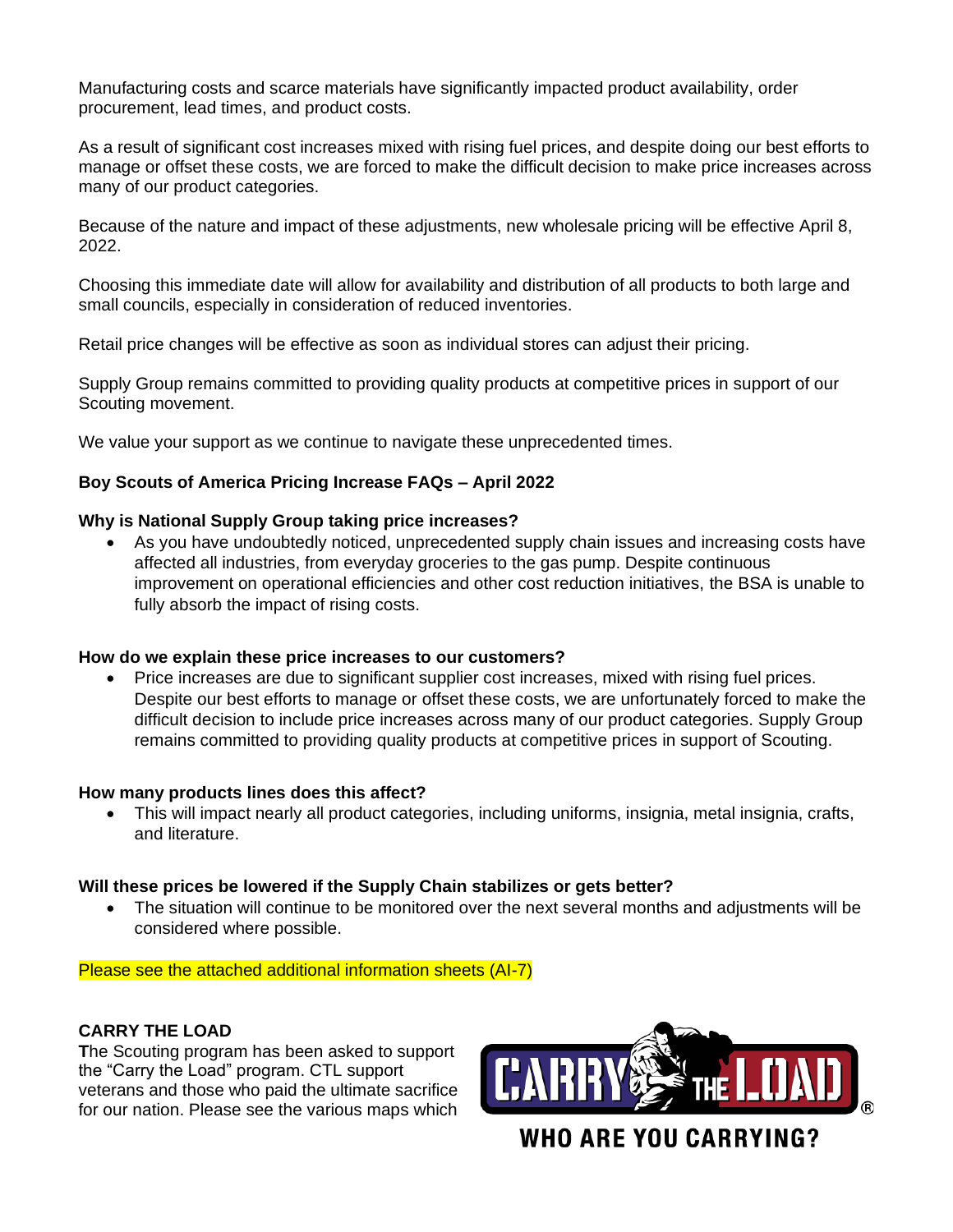Manufacturing costs and scarce materials have significantly impacted product availability, order procurement, lead times, and product costs.

As a result of significant cost increases mixed with rising fuel prices, and despite doing our best efforts to manage or offset these costs, we are forced to make the difficult decision to make price increases across many of our product categories.

Because of the nature and impact of these adjustments, new wholesale pricing will be effective April 8, 2022.

Choosing this immediate date will allow for availability and distribution of all products to both large and small councils, especially in consideration of reduced inventories.

Retail price changes will be effective as soon as individual stores can adjust their pricing.

Supply Group remains committed to providing quality products at competitive prices in support of our Scouting movement.

We value your support as we continue to navigate these unprecedented times.

#### **Boy Scouts of America Pricing Increase FAQs – April 2022**

#### **Why is National Supply Group taking price increases?**

• As you have undoubtedly noticed, unprecedented supply chain issues and increasing costs have affected all industries, from everyday groceries to the gas pump. Despite continuous improvement on operational efficiencies and other cost reduction initiatives, the BSA is unable to fully absorb the impact of rising costs.

#### **How do we explain these price increases to our customers?**

• Price increases are due to significant supplier cost increases, mixed with rising fuel prices. Despite our best efforts to manage or offset these costs, we are unfortunately forced to make the difficult decision to include price increases across many of our product categories. Supply Group remains committed to providing quality products at competitive prices in support of Scouting.

#### **How many products lines does this affect?**

• This will impact nearly all product categories, including uniforms, insignia, metal insignia, crafts, and literature.

#### **Will these prices be lowered if the Supply Chain stabilizes or gets better?**

• The situation will continue to be monitored over the next several months and adjustments will be considered where possible.

Please see the attached additional information sheets (AI-7)

#### **CARRY THE LOAD**

**T**he Scouting program has been asked to support the "Carry the Load" program. CTL support veterans and those who paid the ultimate sacrifice for our nation. Please see the various maps which

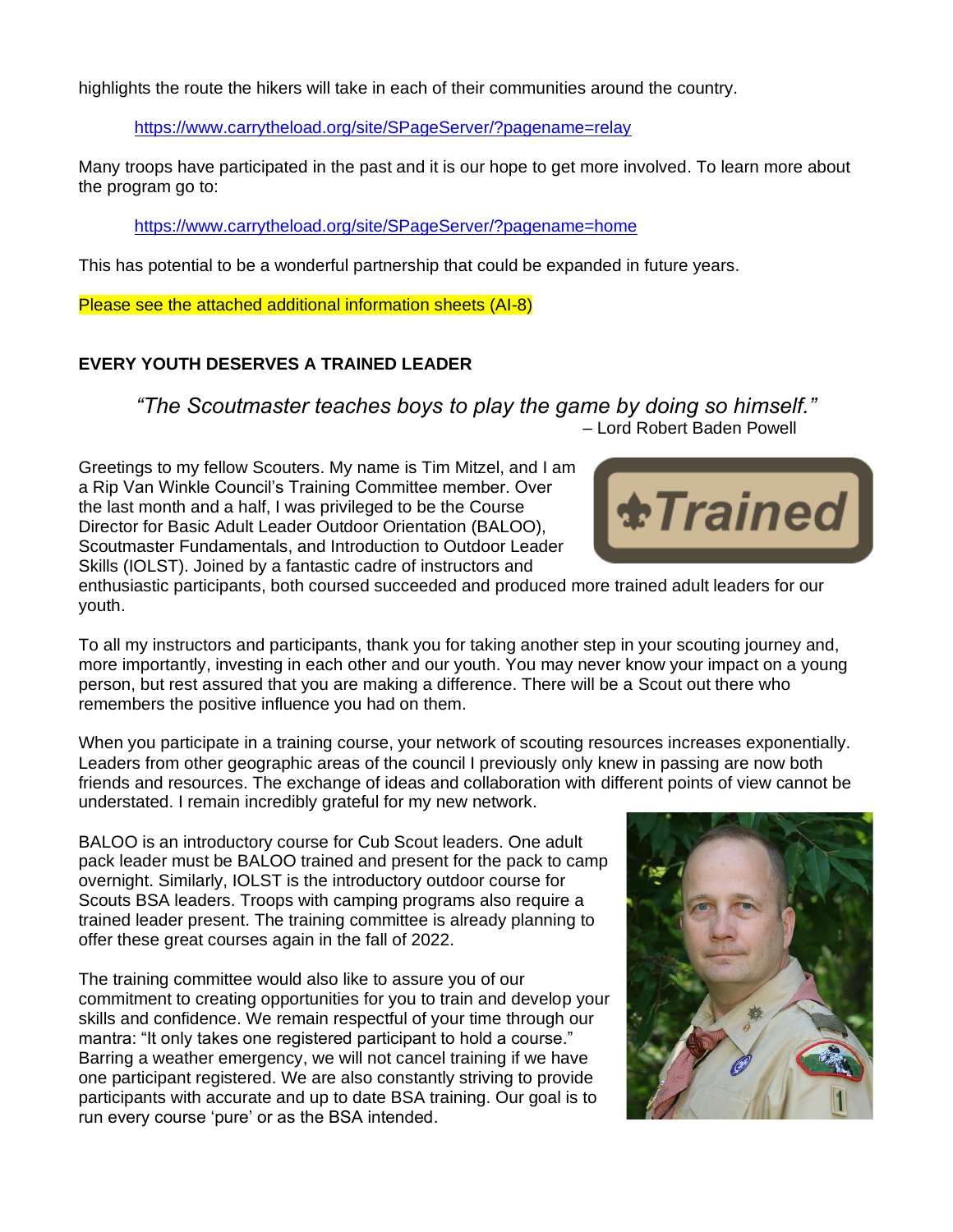highlights the route the hikers will take in each of their communities around the country.

<https://www.carrytheload.org/site/SPageServer/?pagename=relay>

Many troops have participated in the past and it is our hope to get more involved. To learn more about the program go to:

<https://www.carrytheload.org/site/SPageServer/?pagename=home>

This has potential to be a wonderful partnership that could be expanded in future years.

Please see the attached additional information sheets (AI-8)

#### **EVERY YOUTH DESERVES A TRAINED LEADER**

*"The Scoutmaster teaches boys to play the game by doing so himself."* – Lord Robert Baden Powell

Greetings to my fellow Scouters. My name is Tim Mitzel, and I am a Rip Van Winkle Council's Training Committee member. Over the last month and a half, I was privileged to be the Course Director for Basic Adult Leader Outdoor Orientation (BALOO), Scoutmaster Fundamentals, and Introduction to Outdoor Leader Skills (IOLST). Joined by a fantastic cadre of instructors and



To all my instructors and participants, thank you for taking another step in your scouting journey and, more importantly, investing in each other and our youth. You may never know your impact on a young person, but rest assured that you are making a difference. There will be a Scout out there who remembers the positive influence you had on them.

When you participate in a training course, your network of scouting resources increases exponentially. Leaders from other geographic areas of the council I previously only knew in passing are now both friends and resources. The exchange of ideas and collaboration with different points of view cannot be understated. I remain incredibly grateful for my new network.

BALOO is an introductory course for Cub Scout leaders. One adult pack leader must be BALOO trained and present for the pack to camp overnight. Similarly, IOLST is the introductory outdoor course for Scouts BSA leaders. Troops with camping programs also require a trained leader present. The training committee is already planning to offer these great courses again in the fall of 2022.

The training committee would also like to assure you of our commitment to creating opportunities for you to train and develop your skills and confidence. We remain respectful of your time through our mantra: "It only takes one registered participant to hold a course." Barring a weather emergency, we will not cancel training if we have one participant registered. We are also constantly striving to provide participants with accurate and up to date BSA training. Our goal is to run every course 'pure' or as the BSA intended.



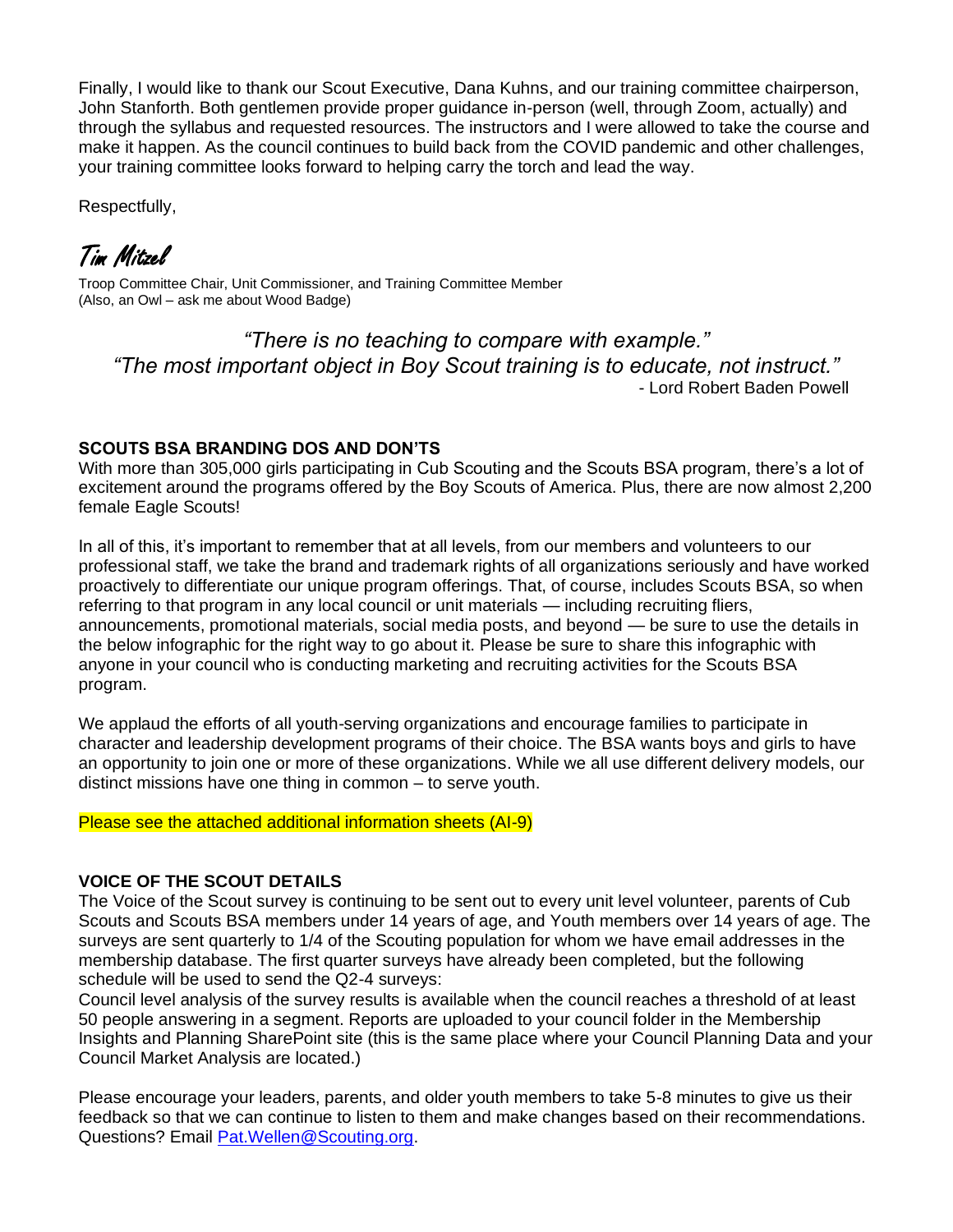Finally, I would like to thank our Scout Executive, Dana Kuhns, and our training committee chairperson, John Stanforth. Both gentlemen provide proper guidance in-person (well, through Zoom, actually) and through the syllabus and requested resources. The instructors and I were allowed to take the course and make it happen. As the council continues to build back from the COVID pandemic and other challenges, your training committee looks forward to helping carry the torch and lead the way.

Respectfully,

Tim Mitzel

Troop Committee Chair, Unit Commissioner, and Training Committee Member (Also, an Owl – ask me about Wood Badge)

*"There is no teaching to compare with example." "The most important object in Boy Scout training is to educate, not instruct."* - Lord Robert Baden Powell

#### **SCOUTS BSA BRANDING DOS AND DON'TS**

With more than 305,000 girls participating in Cub Scouting and the Scouts BSA program, there's a lot of excitement around the programs offered by the Boy Scouts of America. Plus, there are now almost 2,200 female Eagle Scouts!

In all of this, it's important to remember that at all levels, from our members and volunteers to our professional staff, we take the brand and trademark rights of all organizations seriously and have worked proactively to differentiate our unique program offerings. That, of course, includes Scouts BSA, so when referring to that program in any local council or unit materials — including recruiting fliers, announcements, promotional materials, social media posts, and beyond — be sure to use the details in the below infographic for the right way to go about it. Please be sure to share this infographic with anyone in your council who is conducting marketing and recruiting activities for the Scouts BSA program.

We applaud the efforts of all youth-serving organizations and encourage families to participate in character and leadership development programs of their choice. The BSA wants boys and girls to have an opportunity to join one or more of these organizations. While we all use different delivery models, our distinct missions have one thing in common – to serve youth.

Please see the attached additional information sheets (AI-9)

#### **VOICE OF THE SCOUT DETAILS**

The Voice of the Scout survey is continuing to be sent out to every unit level volunteer, parents of Cub Scouts and Scouts BSA members under 14 years of age, and Youth members over 14 years of age. The surveys are sent quarterly to 1/4 of the Scouting population for whom we have email addresses in the membership database. The first quarter surveys have already been completed, but the following schedule will be used to send the Q2-4 surveys:

Council level analysis of the survey results is available when the council reaches a threshold of at least 50 people answering in a segment. Reports are uploaded to your council folder in the Membership Insights and Planning SharePoint site (this is the same place where your Council Planning Data and your Council Market Analysis are located.)

Please encourage your leaders, parents, and older youth members to take 5-8 minutes to give us their feedback so that we can continue to listen to them and make changes based on their recommendations. Questions? Email [Pat.Wellen@Scouting.org.](mailto:Pat.Wellen@Scouting.org)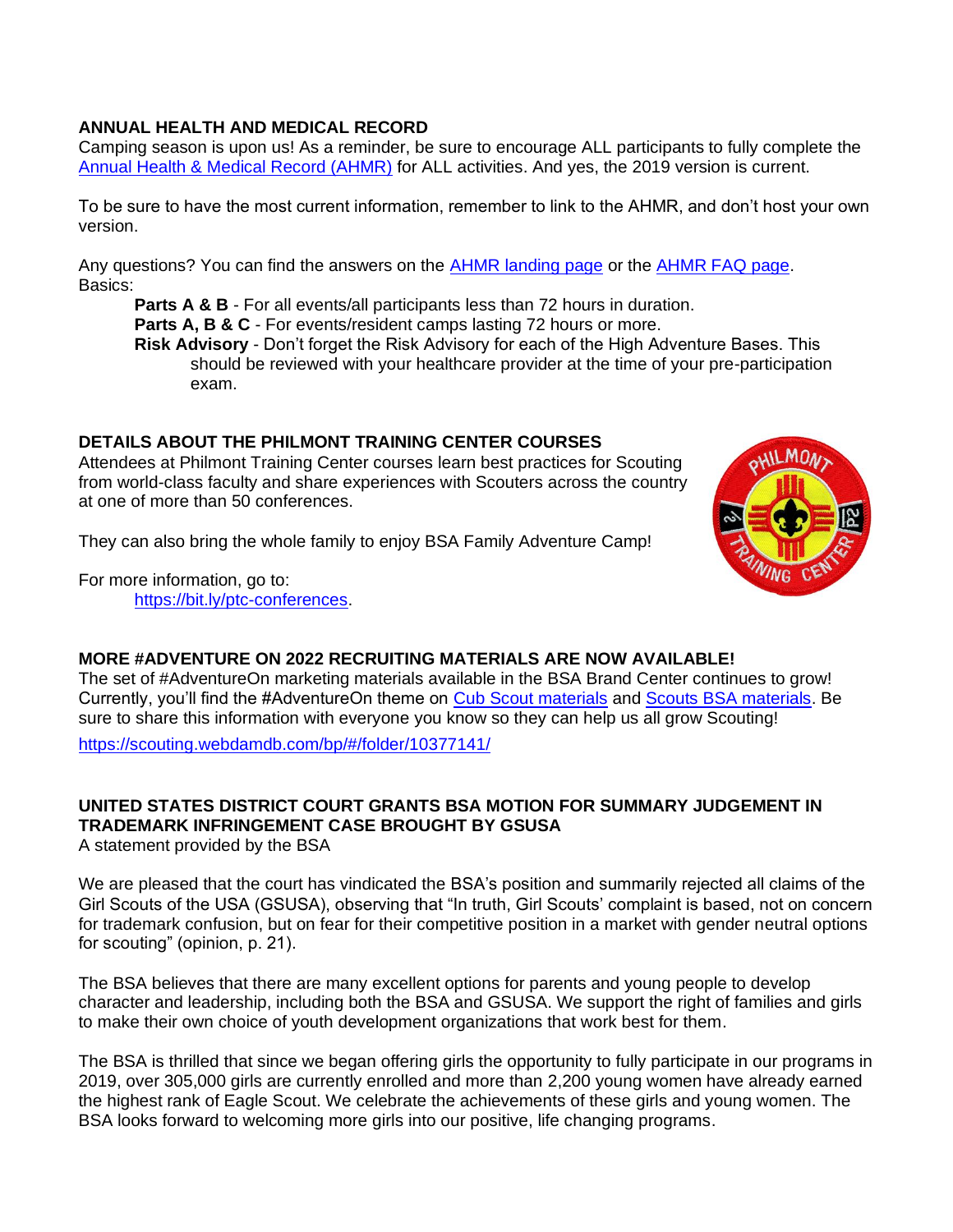#### **ANNUAL HEALTH AND MEDICAL RECORD**

Camping season is upon us! As a reminder, be sure to encourage ALL participants to fully complete the [Annual Health & Medical Record \(AHMR\)](https://t.email.scouting.org/r/?id=h261ebe6b,fda4586,fda6eae) for ALL activities. And yes, the 2019 version is current.

To be sure to have the most current information, remember to link to the AHMR, and don't host your own version.

Any questions? You can find the answers on the [AHMR landing page](https://t.email.scouting.org/r/?id=h261ebe6b,fda4586,fda6eaf) or the [AHMR FAQ page.](https://t.email.scouting.org/r/?id=h261ebe6b,fda4586,fda6eb0) Basics:

**Parts A & B** - For all events/all participants less than 72 hours in duration.

**Parts A, B & C** - For events/resident camps lasting 72 hours or more.

**Risk Advisory** - Don't forget the Risk Advisory for each of the High Adventure Bases. This should be reviewed with your healthcare provider at the time of your pre-participation exam.

#### **DETAILS ABOUT THE PHILMONT TRAINING CENTER COURSES**

Attendees at Philmont Training Center courses learn best practices for Scouting from world-class faculty and share experiences with Scouters across the country at one of more than 50 conferences.

They can also bring the whole family to enjoy BSA Family Adventure Camp!

For more information, go to: [https://bit.ly/ptc-conferences.](https://t.email.scouting.org/r/?id=h261ebe6b,fda4586,fda6eb2)



#### **MORE #ADVENTURE ON 2022 RECRUITING MATERIALS ARE NOW AVAILABLE!**

The set of #AdventureOn marketing materials available in the BSA Brand Center continues to grow! Currently, you'll find the #AdventureOn theme on [Cub Scout materials](https://t.email.scouting.org/r/?id=h2607b943,fc3121c,fd20115) and [Scouts BSA materials.](https://t.email.scouting.org/r/?id=h2607b943,fc3121c,fd20116) Be sure to share this information with everyone you know so they can help us all grow Scouting!

<https://scouting.webdamdb.com/bp/#/folder/10377141/>

#### **UNITED STATES DISTRICT COURT GRANTS BSA MOTION FOR SUMMARY JUDGEMENT IN TRADEMARK INFRINGEMENT CASE BROUGHT BY GSUSA**

A statement provided by the BSA

We are pleased that the court has vindicated the BSA's position and summarily rejected all claims of the Girl Scouts of the USA (GSUSA), observing that "In truth, Girl Scouts' complaint is based, not on concern for trademark confusion, but on fear for their competitive position in a market with gender neutral options for scouting" (opinion, p. 21).

The BSA believes that there are many excellent options for parents and young people to develop character and leadership, including both the BSA and GSUSA. We support the right of families and girls to make their own choice of youth development organizations that work best for them.

The BSA is thrilled that since we began offering girls the opportunity to fully participate in our programs in 2019, over 305,000 girls are currently enrolled and more than 2,200 young women have already earned the highest rank of Eagle Scout. We celebrate the achievements of these girls and young women. The BSA looks forward to welcoming more girls into our positive, life changing programs.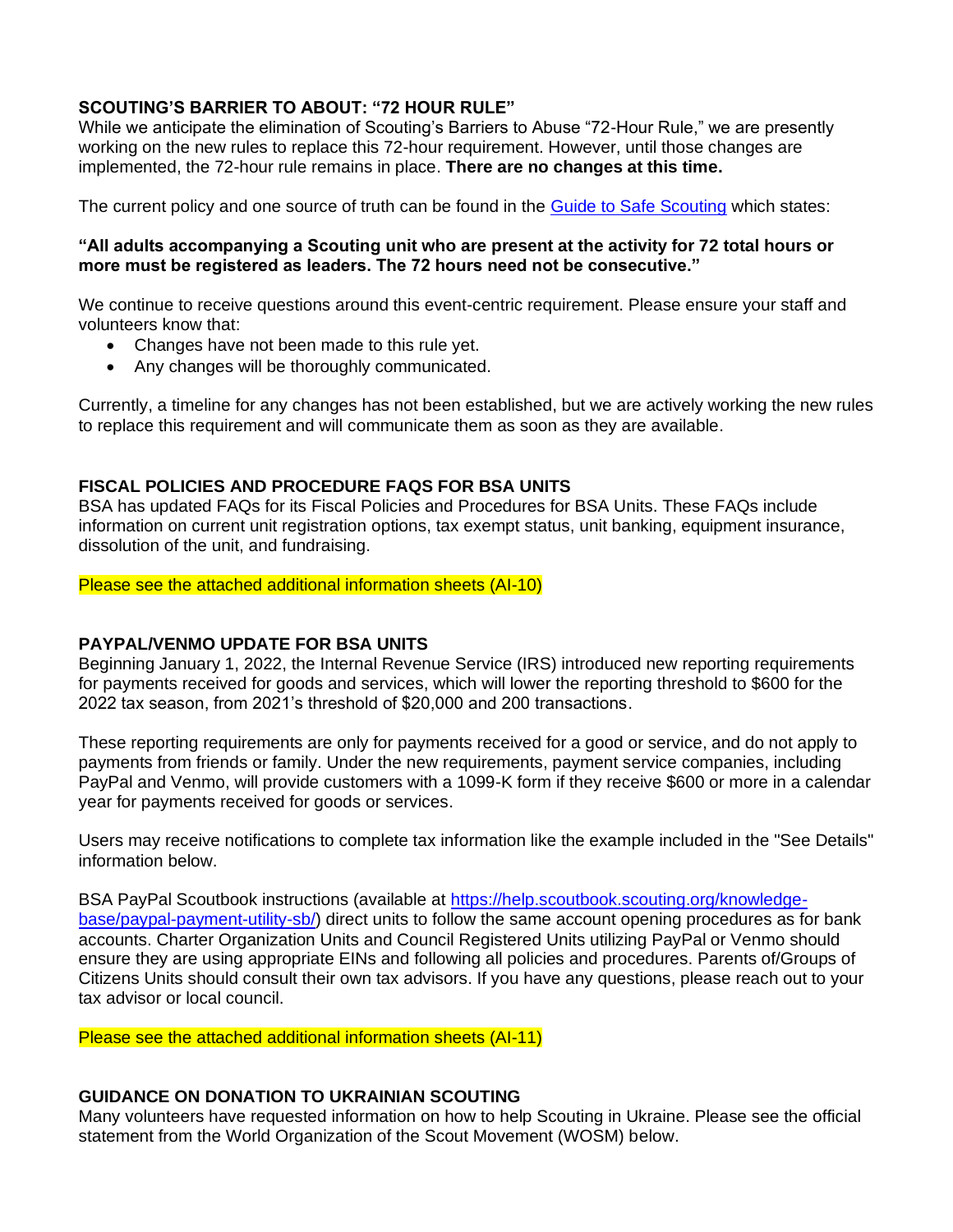#### **SCOUTING'S BARRIER TO ABOUT: "72 HOUR RULE"**

While we anticipate the elimination of Scouting's Barriers to Abuse "72-Hour Rule," we are presently working on the new rules to replace this 72-hour requirement. However, until those changes are implemented, the 72-hour rule remains in place. **There are no changes at this time.** 

The current policy and one source of truth can be found in the [Guide to Safe Scouting](https://t.email.scouting.org/r/?id=h2606f0ae,fc857a7,fd10334) which states:

#### **"All adults accompanying a Scouting unit who are present at the activity for 72 total hours or more must be registered as leaders. The 72 hours need not be consecutive."**

We continue to receive questions around this event-centric requirement. Please ensure your staff and volunteers know that:

- Changes have not been made to this rule yet.
- Any changes will be thoroughly communicated.

Currently, a timeline for any changes has not been established, but we are actively working the new rules to replace this requirement and will communicate them as soon as they are available.

#### **FISCAL POLICIES AND PROCEDURE FAQS FOR BSA UNITS**

BSA has updated FAQs for its Fiscal Policies and Procedures for BSA Units. These FAQs include information on current unit registration options, tax exempt status, unit banking, equipment insurance, dissolution of the unit, and fundraising.

#### Please see the attached additional information sheets (AI-10)

#### **PAYPAL/VENMO UPDATE FOR BSA UNITS**

Beginning January 1, 2022, the Internal Revenue Service (IRS) introduced new reporting requirements for payments received for goods and services, which will lower the reporting threshold to \$600 for the 2022 tax season, from 2021's threshold of \$20,000 and 200 transactions.

These reporting requirements are only for payments received for a good or service, and do not apply to payments from friends or family. Under the new requirements, payment service companies, including PayPal and Venmo, will provide customers with a 1099-K form if they receive \$600 or more in a calendar year for payments received for goods or services.

Users may receive notifications to complete tax information like the example included in the "See Details" information below.

BSA PayPal Scoutbook instructions (available at [https://help.scoutbook.scouting.org/knowledge](https://t.email.scouting.org/r/?id=h25f0d488,fbfd5f2,fc84854)[base/paypal-payment-utility-sb/\)](https://t.email.scouting.org/r/?id=h25f0d488,fbfd5f2,fc84854) direct units to follow the same account opening procedures as for bank accounts. Charter Organization Units and Council Registered Units utilizing PayPal or Venmo should ensure they are using appropriate EINs and following all policies and procedures. Parents of/Groups of Citizens Units should consult their own tax advisors. If you have any questions, please reach out to your tax advisor or local council.

Please see the attached additional information sheets (AI-11)

#### **GUIDANCE ON DONATION TO UKRAINIAN SCOUTING**

Many volunteers have requested information on how to help Scouting in Ukraine. Please see the official statement from the World Organization of the Scout Movement (WOSM) below.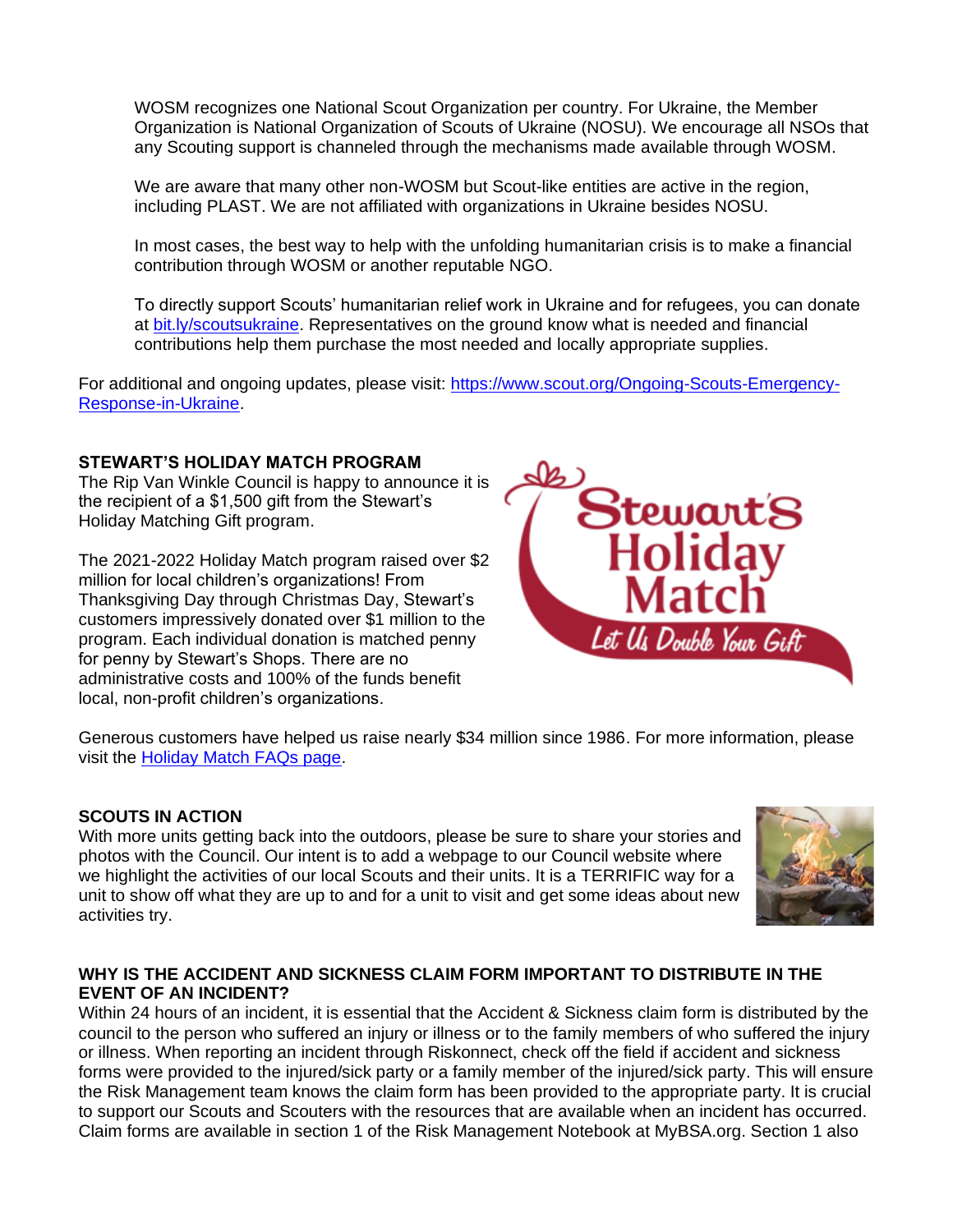WOSM recognizes one National Scout Organization per country. For Ukraine, the Member Organization is National Organization of Scouts of Ukraine (NOSU). We encourage all NSOs that any Scouting support is channeled through the mechanisms made available through WOSM.

We are aware that many other non-WOSM but Scout-like entities are active in the region, including PLAST. We are not affiliated with organizations in Ukraine besides NOSU.

In most cases, the best way to help with the unfolding humanitarian crisis is to make a financial contribution through WOSM or another reputable NGO.

To directly support Scouts' humanitarian relief work in Ukraine and for refugees, you can donate at [bit.ly/scoutsukraine.](https://t.email.scouting.org/r/?id=h25f0d488,fbfd5f2,fc8485a) Representatives on the ground know what is needed and financial contributions help them purchase the most needed and locally appropriate supplies.

For additional and ongoing updates, please visit: [https://www.scout.org/Ongoing-Scouts-Emergency-](https://t.email.scouting.org/r/?id=h25f0d488,fbfd5f2,fc8485b)[Response-in-Ukraine.](https://t.email.scouting.org/r/?id=h25f0d488,fbfd5f2,fc8485b)

#### **STEWART'S HOLIDAY MATCH PROGRAM**

The Rip Van Winkle Council is happy to announce it is the recipient of a \$1,500 gift from the Stewart's Holiday Matching Gift program.

The 2021-2022 Holiday Match program raised over \$2 million for local children's organizations! From Thanksgiving Day through Christmas Day, Stewart's customers impressively donated over \$1 million to the program. Each individual donation is matched penny for penny by Stewart's Shops. There are no administrative costs and 100% of the funds benefit local, non-profit children's organizations.



Generous customers have helped us raise nearly \$34 million since 1986. For more information, please visit the [Holiday Match FAQs page.](https://www.stewartsshops.com/holiday-match/holiday-match-faqs/)

#### **SCOUTS IN ACTION**

With more units getting back into the outdoors, please be sure to share your stories and photos with the Council. Our intent is to add a webpage to our Council website where we highlight the activities of our local Scouts and their units. It is a TERRIFIC way for a unit to show off what they are up to and for a unit to visit and get some ideas about new activities try.



#### **WHY IS THE ACCIDENT AND SICKNESS CLAIM FORM IMPORTANT TO DISTRIBUTE IN THE EVENT OF AN INCIDENT?**

Within 24 hours of an incident, it is essential that the Accident & Sickness claim form is distributed by the council to the person who suffered an injury or illness or to the family members of who suffered the injury or illness. When reporting an incident through Riskonnect, check off the field if accident and sickness forms were provided to the injured/sick party or a family member of the injured/sick party. This will ensure the Risk Management team knows the claim form has been provided to the appropriate party. It is crucial to support our Scouts and Scouters with the resources that are available when an incident has occurred. Claim forms are available in section 1 of the Risk Management Notebook at MyBSA.org. Section 1 also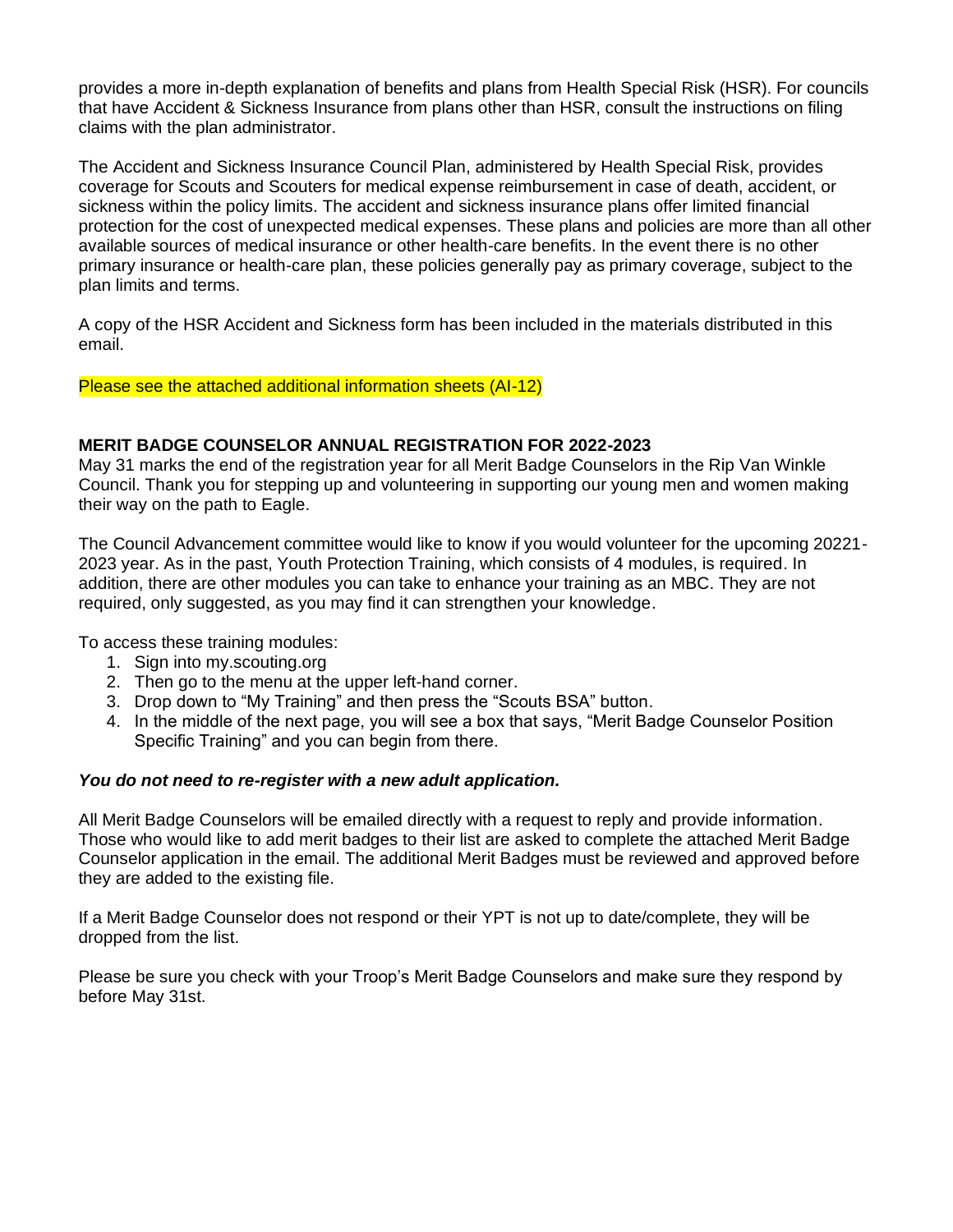provides a more in-depth explanation of benefits and plans from Health Special Risk (HSR). For councils that have Accident & Sickness Insurance from plans other than HSR, consult the instructions on filing claims with the plan administrator.

The Accident and Sickness Insurance Council Plan, administered by Health Special Risk, provides coverage for Scouts and Scouters for medical expense reimbursement in case of death, accident, or sickness within the policy limits. The accident and sickness insurance plans offer limited financial protection for the cost of unexpected medical expenses. These plans and policies are more than all other available sources of medical insurance or other health-care benefits. In the event there is no other primary insurance or health-care plan, these policies generally pay as primary coverage, subject to the plan limits and terms.

A copy of the HSR Accident and Sickness form has been included in the materials distributed in this email.

Please see the attached additional information sheets (AI-12)

#### **MERIT BADGE COUNSELOR ANNUAL REGISTRATION FOR 2022-2023**

May 31 marks the end of the registration year for all Merit Badge Counselors in the Rip Van Winkle Council. Thank you for stepping up and volunteering in supporting our young men and women making their way on the path to Eagle.

The Council Advancement committee would like to know if you would volunteer for the upcoming 20221- 2023 year. As in the past, Youth Protection Training, which consists of 4 modules, is required. In addition, there are other modules you can take to enhance your training as an MBC. They are not required, only suggested, as you may find it can strengthen your knowledge.

To access these training modules:

- 1. Sign into my.scouting.org
- 2. Then go to the menu at the upper left-hand corner.
- 3. Drop down to "My Training" and then press the "Scouts BSA" button.
- 4. In the middle of the next page, you will see a box that says, "Merit Badge Counselor Position Specific Training" and you can begin from there.

#### *You do not need to re-register with a new adult application.*

All Merit Badge Counselors will be emailed directly with a request to reply and provide information. Those who would like to add merit badges to their list are asked to complete the attached Merit Badge Counselor application in the email. The additional Merit Badges must be reviewed and approved before they are added to the existing file.

If a Merit Badge Counselor does not respond or their YPT is not up to date/complete, they will be dropped from the list.

Please be sure you check with your Troop's Merit Badge Counselors and make sure they respond by before May 31st.